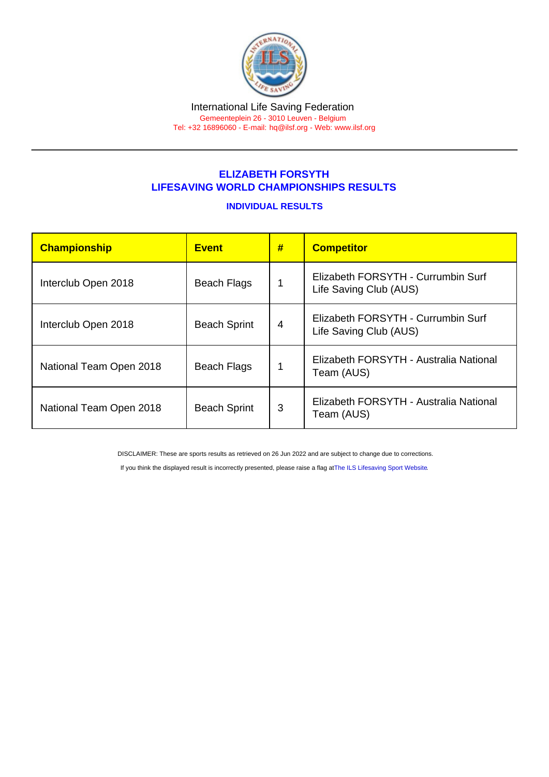## ELIZABETH FORSYTH LIFESAVING WORLD CHAMPIONSHIPS RESULTS

## INDIVIDUAL RESULTS

| Championship            | <b>Event</b>        | # | <b>Competitor</b>                                            |  |
|-------------------------|---------------------|---|--------------------------------------------------------------|--|
| Interclub Open 2018     | <b>Beach Flags</b>  |   | Elizabeth FORSYTH - Currumbin Surf<br>Life Saving Club (AUS) |  |
| Interclub Open 2018     | <b>Beach Sprint</b> | 4 | Elizabeth FORSYTH - Currumbin Surf<br>Life Saving Club (AUS) |  |
| National Team Open 2018 | <b>Beach Flags</b>  | 1 | Elizabeth FORSYTH - Australia National<br>Team (AUS)         |  |
| National Team Open 2018 | <b>Beach Sprint</b> | 3 | Elizabeth FORSYTH - Australia National<br>Team (AUS)         |  |

DISCLAIMER: These are sports results as retrieved on 26 Jun 2022 and are subject to change due to corrections.

If you think the displayed result is incorrectly presented, please raise a flag at [The ILS Lifesaving Sport Website.](https://sport.ilsf.org)